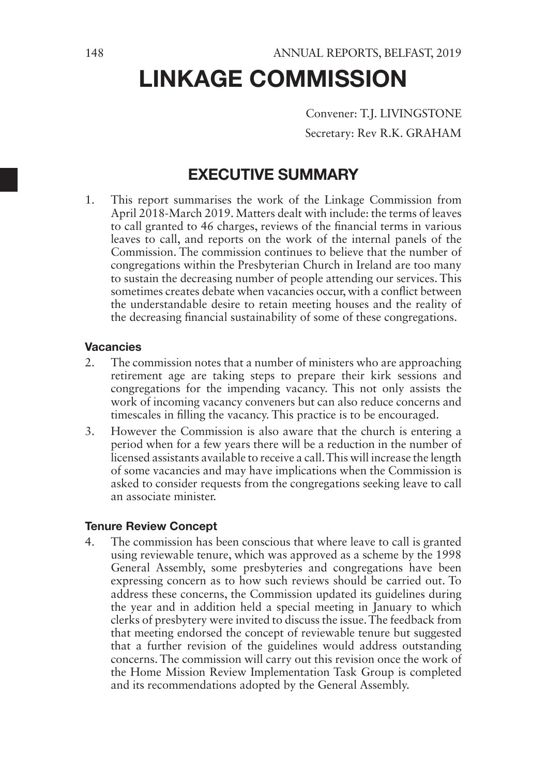Convener: T.J. LIVINGSTONE Secretary: Rev R.K. GRAHAM

# EXECUTIVE SUMMARY

1. This report summarises the work of the Linkage Commission from April 2018-March 2019. Matters dealt with include: the terms of leaves to call granted to 46 charges, reviews of the financial terms in various leaves to call, and reports on the work of the internal panels of the Commission. The commission continues to believe that the number of congregations within the Presbyterian Church in Ireland are too many to sustain the decreasing number of people attending our services. This sometimes creates debate when vacancies occur, with a conflict between the understandable desire to retain meeting houses and the reality of the decreasing financial sustainability of some of these congregations.

### Vacancies

- 2. The commission notes that a number of ministers who are approaching retirement age are taking steps to prepare their kirk sessions and congregations for the impending vacancy. This not only assists the work of incoming vacancy conveners but can also reduce concerns and timescales in filling the vacancy. This practice is to be encouraged.
- 3. However the Commission is also aware that the church is entering a period when for a few years there will be a reduction in the number of licensed assistants available to receive a call. This will increase the length of some vacancies and may have implications when the Commission is asked to consider requests from the congregations seeking leave to call an associate minister.

### Tenure Review Concept

4. The commission has been conscious that where leave to call is granted using reviewable tenure, which was approved as a scheme by the 1998 General Assembly, some presbyteries and congregations have been expressing concern as to how such reviews should be carried out. To address these concerns, the Commission updated its guidelines during the year and in addition held a special meeting in January to which clerks of presbytery were invited to discuss the issue. The feedback from that meeting endorsed the concept of reviewable tenure but suggested that a further revision of the guidelines would address outstanding concerns. The commission will carry out this revision once the work of the Home Mission Review Implementation Task Group is completed and its recommendations adopted by the General Assembly.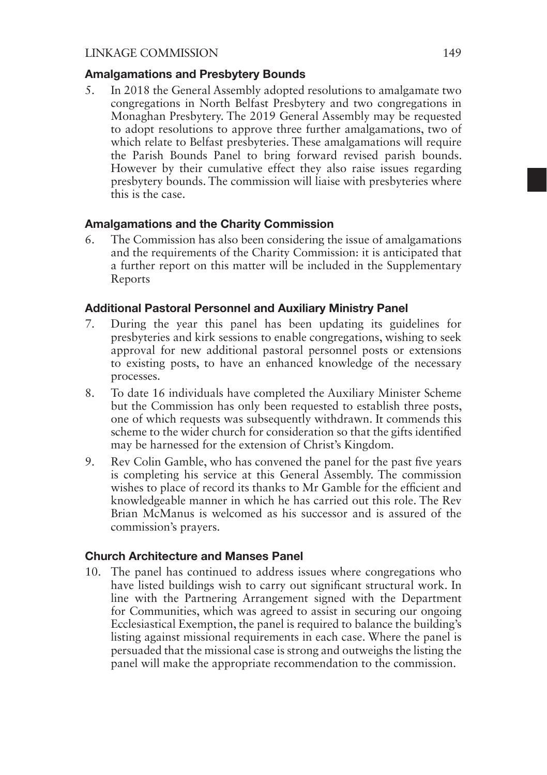#### Amalgamations and Presbytery Bounds

5. In 2018 the General Assembly adopted resolutions to amalgamate two congregations in North Belfast Presbytery and two congregations in Monaghan Presbytery. The 2019 General Assembly may be requested to adopt resolutions to approve three further amalgamations, two of which relate to Belfast presbyteries. These amalgamations will require the Parish Bounds Panel to bring forward revised parish bounds. However by their cumulative effect they also raise issues regarding presbytery bounds. The commission will liaise with presbyteries where this is the case.

### Amalgamations and the Charity Commission

6. The Commission has also been considering the issue of amalgamations and the requirements of the Charity Commission: it is anticipated that a further report on this matter will be included in the Supplementary Reports

### Additional Pastoral Personnel and Auxiliary Ministry Panel

- 7. During the year this panel has been updating its guidelines for presbyteries and kirk sessions to enable congregations, wishing to seek approval for new additional pastoral personnel posts or extensions to existing posts, to have an enhanced knowledge of the necessary processes.
- 8. To date 16 individuals have completed the Auxiliary Minister Scheme but the Commission has only been requested to establish three posts, one of which requests was subsequently withdrawn. It commends this scheme to the wider church for consideration so that the gifts identified may be harnessed for the extension of Christ's Kingdom.
- 9. Rev Colin Gamble, who has convened the panel for the past five years is completing his service at this General Assembly. The commission wishes to place of record its thanks to Mr Gamble for the efficient and knowledgeable manner in which he has carried out this role. The Rev Brian McManus is welcomed as his successor and is assured of the commission's prayers.

### Church Architecture and Manses Panel

10. The panel has continued to address issues where congregations who have listed buildings wish to carry out significant structural work. In line with the Partnering Arrangement signed with the Department for Communities, which was agreed to assist in securing our ongoing Ecclesiastical Exemption, the panel is required to balance the building's listing against missional requirements in each case. Where the panel is persuaded that the missional case is strong and outweighs the listing the panel will make the appropriate recommendation to the commission.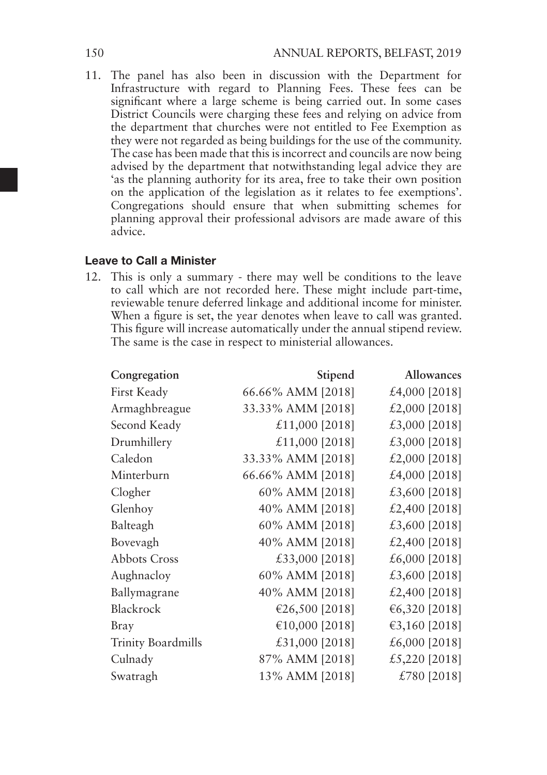11. The panel has also been in discussion with the Department for Infrastructure with regard to Planning Fees. These fees can be significant where a large scheme is being carried out. In some cases District Councils were charging these fees and relying on advice from the department that churches were not entitled to Fee Exemption as they were not regarded as being buildings for the use of the community. The case has been made that this is incorrect and councils are now being advised by the department that notwithstanding legal advice they are 'as the planning authority for its area, free to take their own position on the application of the legislation as it relates to fee exemptions'. Congregations should ensure that when submitting schemes for planning approval their professional advisors are made aware of this advice.

### Leave to Call a Minister

12. This is only a summary - there may well be conditions to the leave to call which are not recorded here. These might include part-time, reviewable tenure deferred linkage and additional income for minister. When a figure is set, the year denotes when leave to call was granted. This figure will increase automatically under the annual stipend review. The same is the case in respect to ministerial allowances.

| Congregation       | Stipend           | <b>Allowances</b> |
|--------------------|-------------------|-------------------|
| First Keady        | 66.66% AMM [2018] | £4,000 [2018]     |
| Armaghbreague      | 33.33% AMM [2018] | £2,000 $[2018]$   |
| Second Keady       | £11,000 [2018]    | £3,000 [2018]     |
| Drumhillery        | £11,000 [2018]    | £3,000 $[2018]$   |
| Caledon            | 33.33% AMM [2018] | £2,000 $[2018]$   |
| Minterburn         | 66.66% AMM [2018] | £4,000 [2018]     |
| Clogher            | 60% AMM [2018]    | £3,600 [2018]     |
| Glenhoy            | 40% AMM [2018]    | £2,400 $[2018]$   |
| Balteagh           | 60% AMM [2018]    | £3,600 [2018]     |
| Bovevagh           | 40% AMM [2018]    | £2,400 $[2018]$   |
| Abbots Cross       | £33,000 [2018]    | £6,000 $[2018]$   |
| Aughnacloy         | 60% AMM [2018]    | £3,600 $[2018]$   |
| Ballymagrane       | 40% AMM [2018]    | £2,400 $[2018]$   |
| Blackrock          | €26,500 [2018]    | €6,320 [2018]     |
| Bray               | €10,000 [2018]    | €3,160 [2018]     |
| Trinity Boardmills | £31,000 [2018]    | £6,000 $[2018]$   |
| Culnady            | 87% AMM [2018]    | £5,220 [2018]     |
| Swatragh           | 13% AMM [2018]    | £780 $[2018]$     |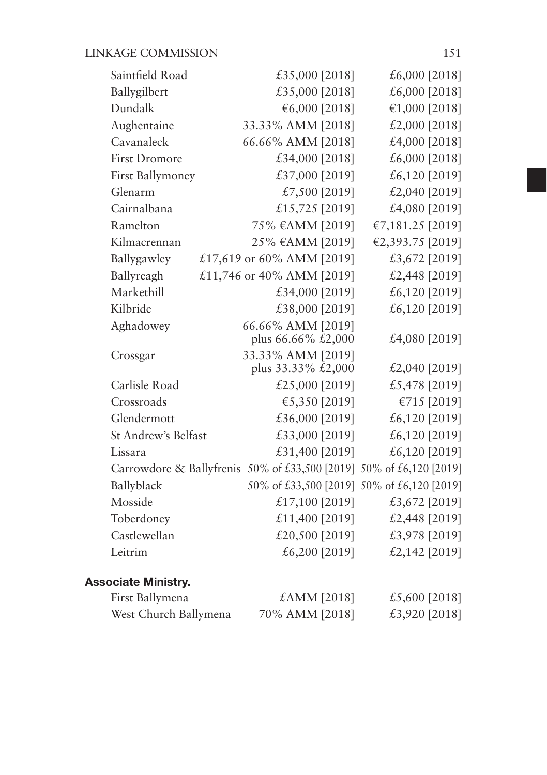| Saintfield Road                                                     | £35,000 [2018]                                            |                       | £6,000 $[2018]$                            |  |
|---------------------------------------------------------------------|-----------------------------------------------------------|-----------------------|--------------------------------------------|--|
| Ballygilbert                                                        | £35,000 [2018]                                            |                       | £6,000 [2018]                              |  |
| Dundalk                                                             |                                                           | €6,000 [2018]         | €1,000 [2018]                              |  |
| Aughentaine                                                         | 33.33% AMM [2018]                                         |                       | £2,000 [2018]                              |  |
| Cavanaleck                                                          | 66.66% AMM [2018]                                         |                       | £4,000 [2018]                              |  |
| <b>First Dromore</b>                                                | £34,000 [2018]                                            |                       | £6,000 [2018]                              |  |
| First Ballymoney                                                    | £37,000 [2019]                                            |                       | £6,120 $[2019]$                            |  |
| Glenarm                                                             |                                                           | £7,500 [2019]         | £2,040 [2019]                              |  |
| Cairnalbana                                                         | £15,725 [2019]                                            |                       | £4,080 [2019]                              |  |
| Ramelton                                                            | 75% €AMM [2019]                                           |                       | €7,181.25 [2019]                           |  |
| Kilmacrennan                                                        | 25% €AMM [2019]                                           |                       | €2,393.75 [2019]                           |  |
| Ballygawley                                                         | £17,619 or 60% AMM [2019]                                 |                       | £3,672 [2019]                              |  |
| Ballyreagh                                                          | £11,746 or 40% AMM [2019]                                 |                       | £2,448 [2019]                              |  |
| Markethill                                                          | £34,000 [2019]                                            |                       | £6,120 [2019]                              |  |
| Kilbride                                                            | £38,000 [2019]                                            |                       | £6,120 [2019]                              |  |
| Aghadowey                                                           | 66.66% AMM [2019]<br>plus 66.66% $\bar{\textit{k}}2,000$  |                       | £4,080 [2019]                              |  |
| Crossgar                                                            | 33.33% AMM [2019]<br>plus $33.33\% \bar{\textbf{t}}2,000$ |                       | £2,040 [2019]                              |  |
| Carlisle Road                                                       | £25,000 [2019]                                            |                       | £5,478 [2019]                              |  |
| Crossroads                                                          |                                                           | €5,350 [2019]         | €715 [2019]                                |  |
| Glendermott                                                         | £36,000 [2019]                                            |                       | £6,120 [2019]                              |  |
| St Andrew's Belfast                                                 | £33,000 [2019]                                            |                       | £6,120 [2019]                              |  |
| Lissara                                                             | £31,400 [2019]                                            |                       | £6,120 [2019]                              |  |
| Carrowdore & Ballyfrenis 50% of £33,500 [2019] 50% of £6,120 [2019] |                                                           |                       |                                            |  |
| Ballyblack                                                          |                                                           |                       | 50% of £33,500 [2019] 50% of £6,120 [2019] |  |
| Mosside                                                             | £17,100 [2019]                                            |                       | £3,672 [2019]                              |  |
| Toberdoney                                                          | £11,400 [2019]                                            |                       | £2,448 [2019]                              |  |
| Castlewellan                                                        | £20,500 [2019]                                            |                       | £3,978 [2019]                              |  |
| Leitrim                                                             |                                                           | £6,200 [2019]         | £2,142 $[2019]$                            |  |
| <b>Associate Ministry.</b>                                          |                                                           |                       |                                            |  |
| First Ballymona                                                     |                                                           | $f \Delta M M$ [2018] | f5600120181                                |  |

| First Ballymena       | $\pounds AMM$ [2018] | £5,600 $[2018]$ |
|-----------------------|----------------------|-----------------|
| West Church Ballymena | 70% AMM [2018]       | £3,920 [2018]   |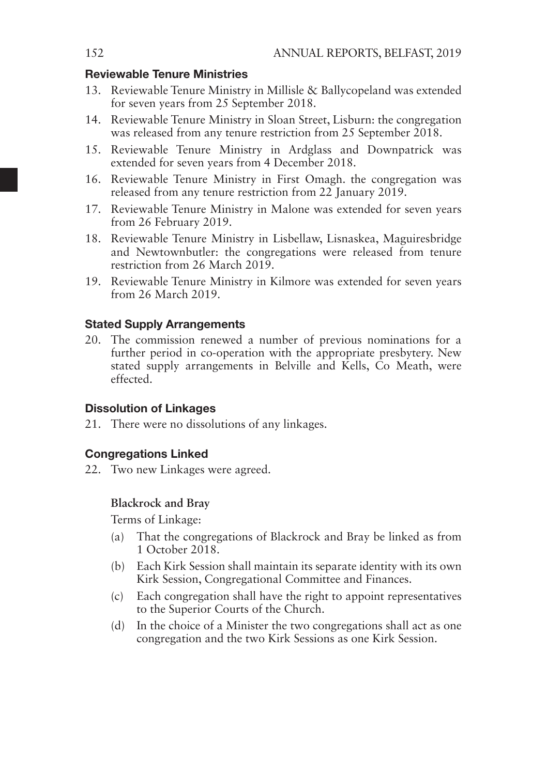### Reviewable Tenure Ministries

- 13. Reviewable Tenure Ministry in Millisle & Ballycopeland was extended for seven years from 25 September 2018.
- 14. Reviewable Tenure Ministry in Sloan Street, Lisburn: the congregation was released from any tenure restriction from 25 September 2018.
- 15. Reviewable Tenure Ministry in Ardglass and Downpatrick was extended for seven years from 4 December 2018.
- 16. Reviewable Tenure Ministry in First Omagh. the congregation was released from any tenure restriction from 22 January 2019.
- 17. Reviewable Tenure Ministry in Malone was extended for seven years from 26 February 2019.
- 18. Reviewable Tenure Ministry in Lisbellaw, Lisnaskea, Maguiresbridge and Newtownbutler: the congregations were released from tenure restriction from 26 March 2019.
- 19. Reviewable Tenure Ministry in Kilmore was extended for seven years from 26 March 2019.

### Stated Supply Arrangements

20. The commission renewed a number of previous nominations for a further period in co-operation with the appropriate presbytery. New stated supply arrangements in Belville and Kells, Co Meath, were effected.

### Dissolution of Linkages

21. There were no dissolutions of any linkages.

### Congregations Linked

22. Two new Linkages were agreed.

### **Blackrock and Bray**

Terms of Linkage:

- (a) That the congregations of Blackrock and Bray be linked as from 1 October 2018.
- (b) Each Kirk Session shall maintain its separate identity with its own Kirk Session, Congregational Committee and Finances.
- (c) Each congregation shall have the right to appoint representatives to the Superior Courts of the Church.
- (d) In the choice of a Minister the two congregations shall act as one congregation and the two Kirk Sessions as one Kirk Session.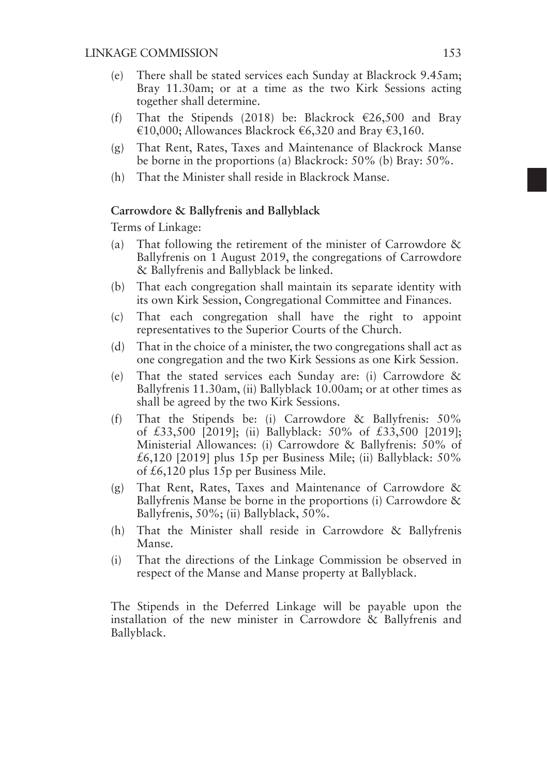- (e) There shall be stated services each Sunday at Blackrock 9.45am; Bray 11.30am; or at a time as the two Kirk Sessions acting together shall determine.
- (f) That the Stipends (2018) be: Blackrock  $\epsilon$ 26,500 and Bray €10,000; Allowances Blackrock €6,320 and Bray €3,160.
- (g) That Rent, Rates, Taxes and Maintenance of Blackrock Manse be borne in the proportions (a) Blackrock: 50% (b) Bray: 50%.
- (h) That the Minister shall reside in Blackrock Manse.

#### **Carrowdore & Ballyfrenis and Ballyblack**

Terms of Linkage:

- (a) That following the retirement of the minister of Carrowdore & Ballyfrenis on 1 August 2019, the congregations of Carrowdore & Ballyfrenis and Ballyblack be linked.
- (b) That each congregation shall maintain its separate identity with its own Kirk Session, Congregational Committee and Finances.
- (c) That each congregation shall have the right to appoint representatives to the Superior Courts of the Church.
- (d) That in the choice of a minister, the two congregations shall act as one congregation and the two Kirk Sessions as one Kirk Session.
- (e) That the stated services each Sunday are: (i) Carrowdore & Ballyfrenis 11.30am, (ii) Ballyblack 10.00am; or at other times as shall be agreed by the two Kirk Sessions.
- (f) That the Stipends be: (i) Carrowdore & Ballyfrenis: 50% of £33,500 [2019]; (ii) Ballyblack: 50% of £33,500 [2019]; Ministerial Allowances: (i) Carrowdore & Ballyfrenis: 50% of  $£6,120$  [2019] plus 15p per Business Mile; (ii) Ballyblack: 50% of £6,120 plus 15p per Business Mile.
- (g) That Rent, Rates, Taxes and Maintenance of Carrowdore & Ballyfrenis Manse be borne in the proportions (i) Carrowdore & Ballyfrenis, 50%; (ii) Ballyblack, 50%.
- (h) That the Minister shall reside in Carrowdore & Ballyfrenis Manse.
- (i) That the directions of the Linkage Commission be observed in respect of the Manse and Manse property at Ballyblack.

The Stipends in the Deferred Linkage will be payable upon the installation of the new minister in Carrowdore & Ballyfrenis and Ballyblack.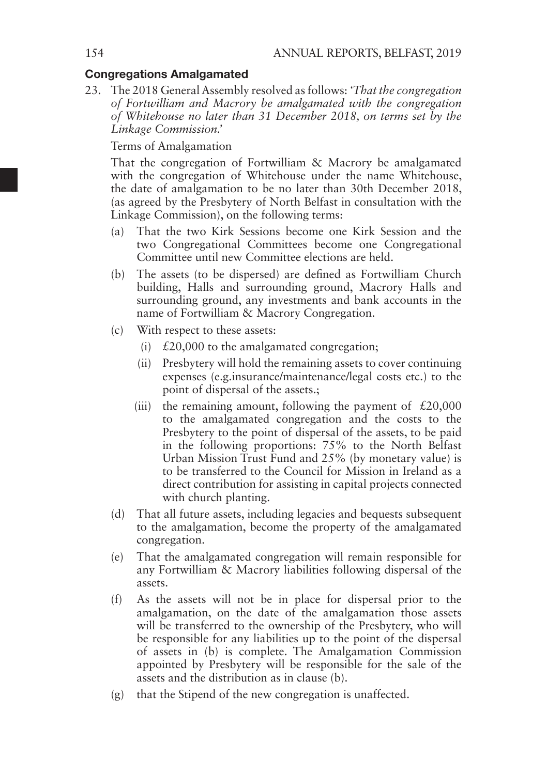### Congregations Amalgamated

23. The 2018 General Assembly resolved as follows: *'That the congregation of Fortwilliam and Macrory be amalgamated with the congregation of Whitehouse no later than 31 December 2018, on terms set by the Linkage Commission.'*

Terms of Amalgamation

That the congregation of Fortwilliam & Macrory be amalgamated with the congregation of Whitehouse under the name Whitehouse, the date of amalgamation to be no later than 30th December 2018, (as agreed by the Presbytery of North Belfast in consultation with the Linkage Commission), on the following terms:

- (a) That the two Kirk Sessions become one Kirk Session and the two Congregational Committees become one Congregational Committee until new Committee elections are held.
- (b) The assets (to be dispersed) are defined as Fortwilliam Church building, Halls and surrounding ground, Macrory Halls and surrounding ground, any investments and bank accounts in the name of Fortwilliam & Macrory Congregation.
- (c) With respect to these assets:
	- (i)  $\angle$  £20,000 to the amalgamated congregation;
	- (ii) Presbytery will hold the remaining assets to cover continuing expenses (e.g.insurance/maintenance/legal costs etc.) to the point of dispersal of the assets.;
	- (iii) the remaining amount, following the payment of  $£20,000$ to the amalgamated congregation and the costs to the Presbytery to the point of dispersal of the assets, to be paid in the following proportions: 75% to the North Belfast Urban Mission Trust Fund and 25% (by monetary value) is to be transferred to the Council for Mission in Ireland as a direct contribution for assisting in capital projects connected with church planting.
- (d) That all future assets, including legacies and bequests subsequent to the amalgamation, become the property of the amalgamated congregation.
- (e) That the amalgamated congregation will remain responsible for any Fortwilliam & Macrory liabilities following dispersal of the assets.
- (f) As the assets will not be in place for dispersal prior to the amalgamation, on the date of the amalgamation those assets will be transferred to the ownership of the Presbytery, who will be responsible for any liabilities up to the point of the dispersal of assets in (b) is complete. The Amalgamation Commission appointed by Presbytery will be responsible for the sale of the assets and the distribution as in clause (b).
- (g) that the Stipend of the new congregation is unaffected.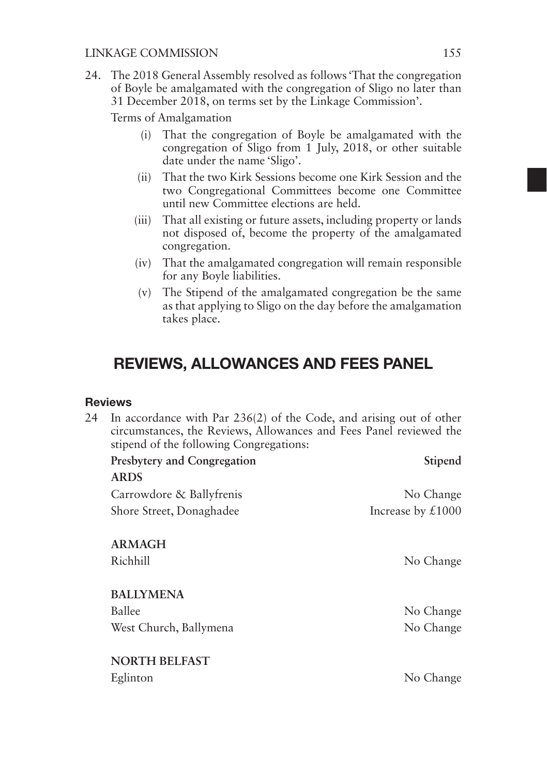24. The 2018 General Assembly resolved as follows 'That the congregation of Boyle be amalgamated with the congregation of Sligo no later than 31 December 2018, on terms set by the Linkage Commission'.

Terms of Amalgamation

- (i) That the congregation of Boyle be amalgamated with the congregation of Sligo from 1 July, 2018, or other suitable date under the name 'Sligo'.
- (ii) That the two Kirk Sessions become one Kirk Session and the two Congregational Committees become one Committee until new Committee elections are held.
- (iii) That all existing or future assets, including property or lands not disposed of, become the property of the amalgamated congregation.
- (iv) That the amalgamated congregation will remain responsible for any Boyle liabilities.
- (v) The Stipend of the amalgamated congregation be the same as that applying to Sligo on the day before the amalgamation takes place.

# REVIEWS, ALLOWANCES AND FEES PANEL

### **Reviews**

| 24 | In accordance with Par $236(2)$ of the Code, and arising out of other<br>circumstances, the Reviews, Allowances and Fees Panel reviewed the<br>stipend of the following Congregations: |                                  |  |  |
|----|----------------------------------------------------------------------------------------------------------------------------------------------------------------------------------------|----------------------------------|--|--|
|    | Presbytery and Congregation                                                                                                                                                            | Stipend                          |  |  |
|    | <b>ARDS</b>                                                                                                                                                                            |                                  |  |  |
|    | Carrowdore & Ballyfrenis                                                                                                                                                               | No Change                        |  |  |
|    | Shore Street, Donaghadee                                                                                                                                                               | Increase by $\text{\pounds}1000$ |  |  |
|    | <b>ARMAGH</b><br>Richhill                                                                                                                                                              | No Change                        |  |  |
|    | <b>BALLYMENA</b>                                                                                                                                                                       |                                  |  |  |
|    | Ballee                                                                                                                                                                                 | No Change                        |  |  |
|    | West Church, Ballymena                                                                                                                                                                 | No Change                        |  |  |
|    | <b>NORTH BELFAST</b>                                                                                                                                                                   |                                  |  |  |
|    | Eglinton                                                                                                                                                                               | No Change                        |  |  |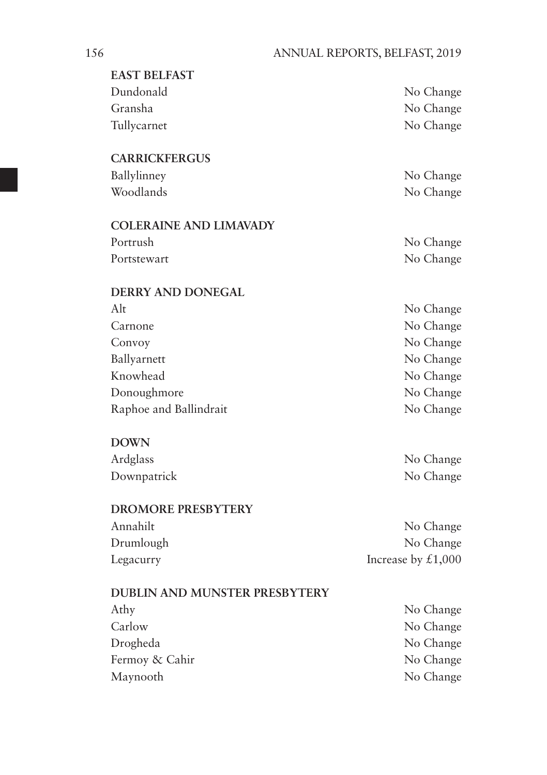| <b>EAST BELFAST</b>                  |                      |
|--------------------------------------|----------------------|
| Dundonald                            | No Change            |
| Gransha                              | No Change            |
| Tullycarnet                          | No Change            |
| <b>CARRICKFERGUS</b>                 |                      |
| Ballylinney                          | No Change            |
| Woodlands                            | No Change            |
| <b>COLERAINE AND LIMAVADY</b>        |                      |
| Portrush                             | No Change            |
| Portstewart                          | No Change            |
| <b>DERRY AND DONEGAL</b>             |                      |
| Alt                                  | No Change            |
| Carnone                              | No Change            |
| Convoy                               | No Change            |
| Ballyarnett                          | No Change            |
| Knowhead                             | No Change            |
| Donoughmore                          | No Change            |
| Raphoe and Ballindrait               | No Change            |
| <b>DOWN</b>                          |                      |
| Ardglass                             | No Change            |
| Downpatrick                          | No Change            |
| <b>DROMORE PRESBYTERY</b>            |                      |
| Annahilt                             | No Change            |
| Drumlough                            | No Change            |
| Legacurry                            | Increase by $£1,000$ |
| <b>DUBLIN AND MUNSTER PRESBYTERY</b> |                      |
| Athy                                 | No Change            |
| Carlow                               | No Change            |
| Drogheda                             | No Change            |
| Fermoy & Cahir                       | No Change            |
| Maynooth                             | No Change            |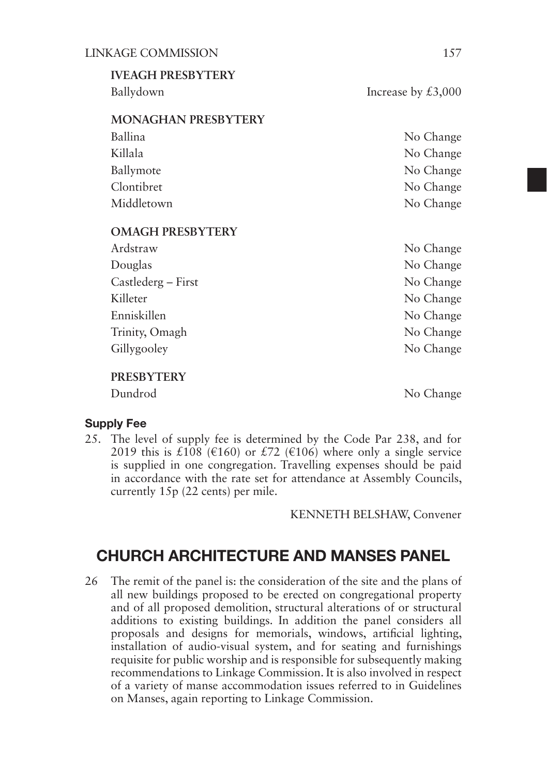| <b>IVEAGH PRESBYTERY</b>   |                      |
|----------------------------|----------------------|
| Ballydown                  | Increase by $£3,000$ |
|                            |                      |
| <b>MONAGHAN PRESBYTERY</b> |                      |
| Ballina                    | No Change            |
| Killala                    | No Change            |
| Ballymote                  | No Change            |
| Clontibret                 | No Change            |
| Middletown                 | No Change            |
| <b>OMAGH PRESBYTERY</b>    |                      |
| Ardstraw                   | No Change            |
| Douglas                    | No Change            |
| Castlederg – First         | No Change            |
| Killeter                   | No Change            |
| Enniskillen                | No Change            |
| Trinity, Omagh             | No Change            |
| Gillygooley                | No Change            |
| <b>PRESBYTERY</b>          |                      |
| Dundrod                    | No Change            |

### Supply Fee

25. The level of supply fee is determined by the Code Par 238, and for 2019 this is £108 (€160) or £72 (€106) where only a single service is supplied in one congregation. Travelling expenses should be paid in accordance with the rate set for attendance at Assembly Councils, currently 15p (22 cents) per mile.

KENNETH BELSHAW, Convener

### CHURCH ARCHITECTURE AND MANSES PANEL

26 The remit of the panel is: the consideration of the site and the plans of all new buildings proposed to be erected on congregational property and of all proposed demolition, structural alterations of or structural additions to existing buildings. In addition the panel considers all proposals and designs for memorials, windows, artificial lighting, installation of audio-visual system, and for seating and furnishings requisite for public worship and is responsible for subsequently making recommendations to Linkage Commission. It is also involved in respect of a variety of manse accommodation issues referred to in Guidelines on Manses, again reporting to Linkage Commission.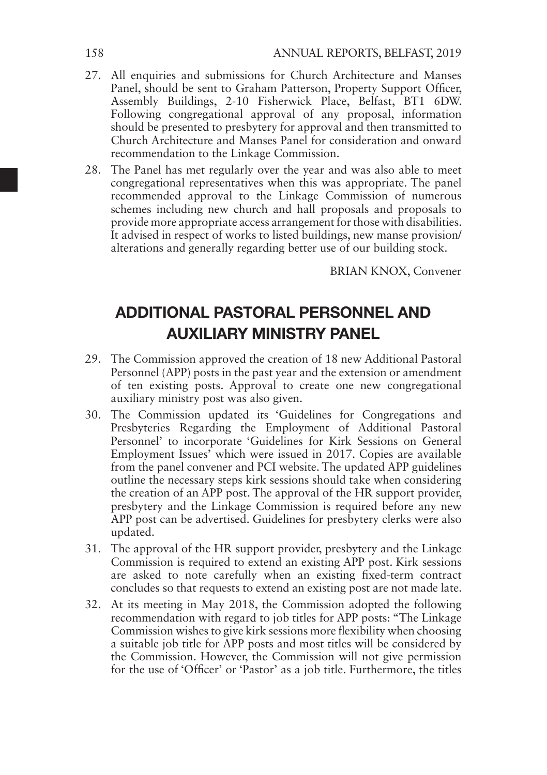- 27. All enquiries and submissions for Church Architecture and Manses Panel, should be sent to Graham Patterson, Property Support Officer, Assembly Buildings, 2-10 Fisherwick Place, Belfast, BT1 6DW. Following congregational approval of any proposal, information should be presented to presbytery for approval and then transmitted to Church Architecture and Manses Panel for consideration and onward recommendation to the Linkage Commission.
- 28. The Panel has met regularly over the year and was also able to meet congregational representatives when this was appropriate. The panel recommended approval to the Linkage Commission of numerous schemes including new church and hall proposals and proposals to provide more appropriate access arrangement for those with disabilities. It advised in respect of works to listed buildings, new manse provision/ alterations and generally regarding better use of our building stock.

BRIAN KNOX, Convener

# ADDITIONAL PASTORAL PERSONNEL AND AUXILIARY MINISTRY PANEL

- 29. The Commission approved the creation of 18 new Additional Pastoral Personnel (APP) posts in the past year and the extension or amendment of ten existing posts. Approval to create one new congregational auxiliary ministry post was also given.
- 30. The Commission updated its 'Guidelines for Congregations and Presbyteries Regarding the Employment of Additional Pastoral Personnel' to incorporate 'Guidelines for Kirk Sessions on General Employment Issues' which were issued in 2017. Copies are available from the panel convener and PCI website. The updated APP guidelines outline the necessary steps kirk sessions should take when considering the creation of an APP post. The approval of the HR support provider, presbytery and the Linkage Commission is required before any new APP post can be advertised. Guidelines for presbytery clerks were also updated.
- 31. The approval of the HR support provider, presbytery and the Linkage Commission is required to extend an existing APP post. Kirk sessions are asked to note carefully when an existing fixed-term contract concludes so that requests to extend an existing post are not made late.
- 32. At its meeting in May 2018, the Commission adopted the following recommendation with regard to job titles for APP posts: "The Linkage Commission wishes to give kirk sessions more flexibility when choosing a suitable job title for APP posts and most titles will be considered by the Commission. However, the Commission will not give permission for the use of 'Officer' or 'Pastor' as a job title. Furthermore, the titles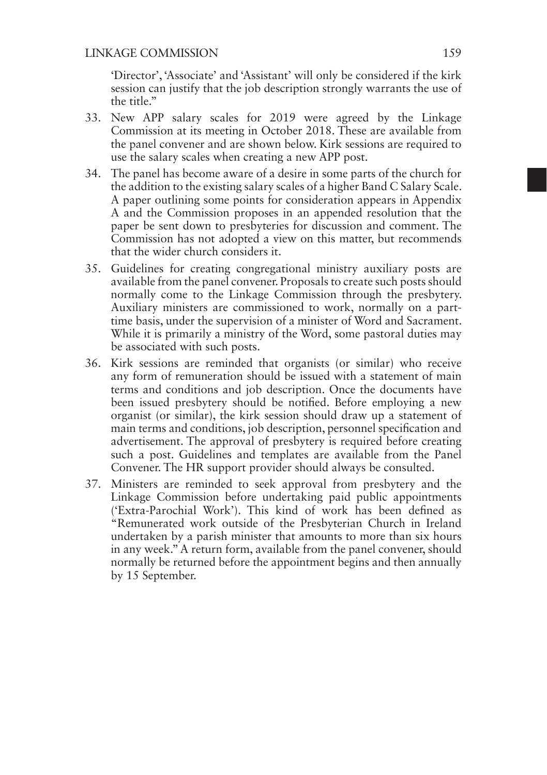'Director', 'Associate' and 'Assistant' will only be considered if the kirk session can justify that the job description strongly warrants the use of the title."

- 33. New APP salary scales for 2019 were agreed by the Linkage Commission at its meeting in October 2018. These are available from the panel convener and are shown below. Kirk sessions are required to use the salary scales when creating a new APP post.
- 34. The panel has become aware of a desire in some parts of the church for the addition to the existing salary scales of a higher Band C Salary Scale. A paper outlining some points for consideration appears in Appendix A and the Commission proposes in an appended resolution that the paper be sent down to presbyteries for discussion and comment. The Commission has not adopted a view on this matter, but recommends that the wider church considers it.
- 35. Guidelines for creating congregational ministry auxiliary posts are available from the panel convener. Proposals to create such posts should normally come to the Linkage Commission through the presbytery. Auxiliary ministers are commissioned to work, normally on a parttime basis, under the supervision of a minister of Word and Sacrament. While it is primarily a ministry of the Word, some pastoral duties may be associated with such posts.
- 36. Kirk sessions are reminded that organists (or similar) who receive any form of remuneration should be issued with a statement of main terms and conditions and job description. Once the documents have been issued presbytery should be notified. Before employing a new organist (or similar), the kirk session should draw up a statement of main terms and conditions, job description, personnel specification and advertisement. The approval of presbytery is required before creating such a post. Guidelines and templates are available from the Panel Convener. The HR support provider should always be consulted.
- 37. Ministers are reminded to seek approval from presbytery and the Linkage Commission before undertaking paid public appointments ('Extra-Parochial Work'). This kind of work has been defined as "Remunerated work outside of the Presbyterian Church in Ireland undertaken by a parish minister that amounts to more than six hours in any week." A return form, available from the panel convener, should normally be returned before the appointment begins and then annually by 15 September.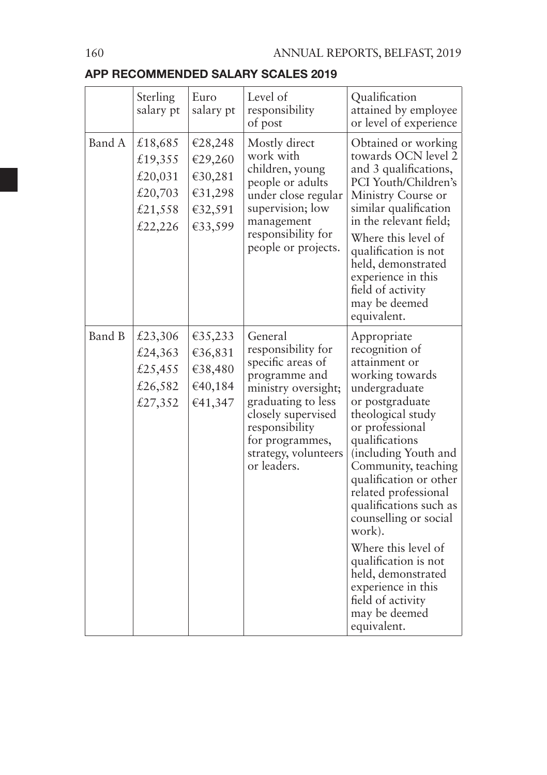### APP RECOMMENDED SALARY SCALES 2019

|        | Sterling<br>salary pt                                          | Euro<br>salary pt                                              | Level of<br>responsibility<br>of post                                                                                                                                                                              | Qualification<br>attained by employee<br>or level of experience                                                                                                                                                                                                                                                                                                                                                                                                               |
|--------|----------------------------------------------------------------|----------------------------------------------------------------|--------------------------------------------------------------------------------------------------------------------------------------------------------------------------------------------------------------------|-------------------------------------------------------------------------------------------------------------------------------------------------------------------------------------------------------------------------------------------------------------------------------------------------------------------------------------------------------------------------------------------------------------------------------------------------------------------------------|
| Band A | £18,685<br>£19,355<br>£20,031<br>£20,703<br>£21,558<br>£22,226 | €28,248<br>€29,260<br>€30,281<br>€31,298<br>€32,591<br>€33,599 | Mostly direct<br>work with<br>children, young<br>people or adults<br>under close regular<br>supervision; low<br>management<br>responsibility for<br>people or projects.                                            | Obtained or working<br>towards OCN level 2<br>and 3 qualifications,<br>PCI Youth/Children's<br>Ministry Course or<br>similar qualification<br>in the relevant field;<br>Where this level of<br>qualification is not<br>held, demonstrated<br>experience in this<br>field of activity<br>may be deemed<br>equivalent.                                                                                                                                                          |
| Band B | £23,306<br>£24,363<br>£25,455<br>£26,582<br>£27,352            | €35,233<br>€36,831<br>€38,480<br>€40,184<br>€41,347            | General<br>responsibility for<br>specific areas of<br>programme and<br>ministry oversight;<br>graduating to less<br>closely supervised<br>responsibility<br>for programmes,<br>strategy, volunteers<br>or leaders. | Appropriate<br>recognition of<br>attainment or<br>working towards<br>undergraduate<br>or postgraduate<br>theological study<br>or professional<br>qualifications<br>(including Youth and<br>Community, teaching<br>qualification or other<br>related professional<br>qualifications such as<br>counselling or social<br>work).<br>Where this level of<br>qualification is not<br>held, demonstrated<br>experience in this<br>field of activity<br>may be deemed<br>equivalent. |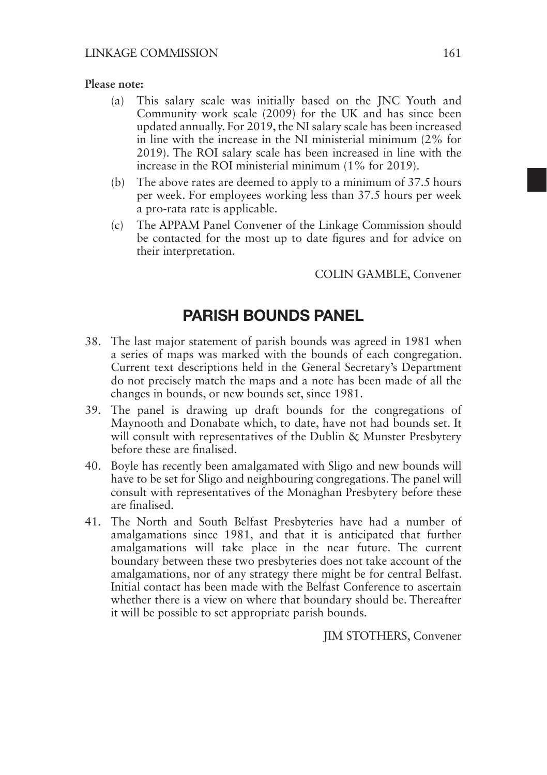### **Please note:**

- (a) This salary scale was initially based on the JNC Youth and Community work scale (2009) for the UK and has since been updated annually. For 2019, the NI salary scale has been increased in line with the increase in the NI ministerial minimum (2% for 2019). The ROI salary scale has been increased in line with the increase in the ROI ministerial minimum (1% for 2019).
- (b) The above rates are deemed to apply to a minimum of 37.5 hours per week. For employees working less than 37.5 hours per week a pro-rata rate is applicable.
- (c) The APPAM Panel Convener of the Linkage Commission should be contacted for the most up to date figures and for advice on their interpretation.

COLIN GAMBLE, Convener

### PARISH BOUNDS PANEL

- 38. The last major statement of parish bounds was agreed in 1981 when a series of maps was marked with the bounds of each congregation. Current text descriptions held in the General Secretary's Department do not precisely match the maps and a note has been made of all the changes in bounds, or new bounds set, since 1981.
- 39. The panel is drawing up draft bounds for the congregations of Maynooth and Donabate which, to date, have not had bounds set. It will consult with representatives of the Dublin & Munster Presbytery before these are finalised.
- 40. Boyle has recently been amalgamated with Sligo and new bounds will have to be set for Sligo and neighbouring congregations. The panel will consult with representatives of the Monaghan Presbytery before these are finalised.
- 41. The North and South Belfast Presbyteries have had a number of amalgamations since 1981, and that it is anticipated that further amalgamations will take place in the near future. The current boundary between these two presbyteries does not take account of the amalgamations, nor of any strategy there might be for central Belfast. Initial contact has been made with the Belfast Conference to ascertain whether there is a view on where that boundary should be. Thereafter it will be possible to set appropriate parish bounds.

JIM STOTHERS, Convener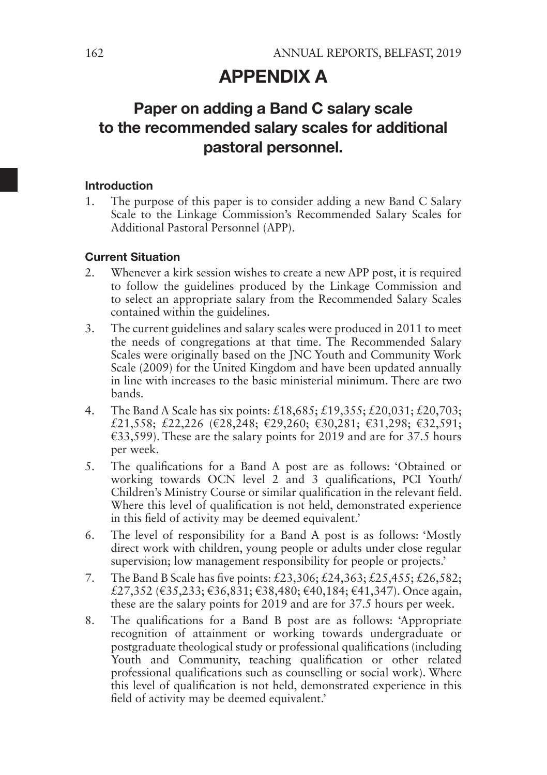### APPENDIX A

# Paper on adding a Band C salary scale to the recommended salary scales for additional pastoral personnel.

#### Introduction

1. The purpose of this paper is to consider adding a new Band C Salary Scale to the Linkage Commission's Recommended Salary Scales for Additional Pastoral Personnel (APP).

### Current Situation

- 2. Whenever a kirk session wishes to create a new APP post, it is required to follow the guidelines produced by the Linkage Commission and to select an appropriate salary from the Recommended Salary Scales contained within the guidelines.
- 3. The current guidelines and salary scales were produced in 2011 to meet the needs of congregations at that time. The Recommended Salary Scales were originally based on the JNC Youth and Community Work Scale (2009) for the United Kingdom and have been updated annually in line with increases to the basic ministerial minimum. There are two bands.
- 4. The Band A Scale has six points: £18,685; £19,355; £20,031; £20,703; £21,558; £22,226 (€28,248; €29,260; €30,281; €31,298; €32,591;  $\epsilon$ 33,599). These are the salary points for 2019 and are for 37.5 hours per week.
- 5. The qualifications for a Band A post are as follows: 'Obtained or working towards OCN level 2 and 3 qualifications, PCI Youth/ Children's Ministry Course or similar qualification in the relevant field. Where this level of qualification is not held, demonstrated experience in this field of activity may be deemed equivalent.'
- 6. The level of responsibility for a Band A post is as follows: 'Mostly direct work with children, young people or adults under close regular supervision; low management responsibility for people or projects.'
- 7. The Band B Scale has five points: £23,306; £24,363; £25,455; £26,582; £27,352 (€35,233; €36,831; €38,480; €40,184; €41,347). Once again, these are the salary points for 2019 and are for 37.5 hours per week.
- 8. The qualifications for a Band B post are as follows: 'Appropriate recognition of attainment or working towards undergraduate or postgraduate theological study or professional qualifications (including Youth and Community, teaching qualification or other related professional qualifications such as counselling or social work). Where this level of qualification is not held, demonstrated experience in this field of activity may be deemed equivalent.'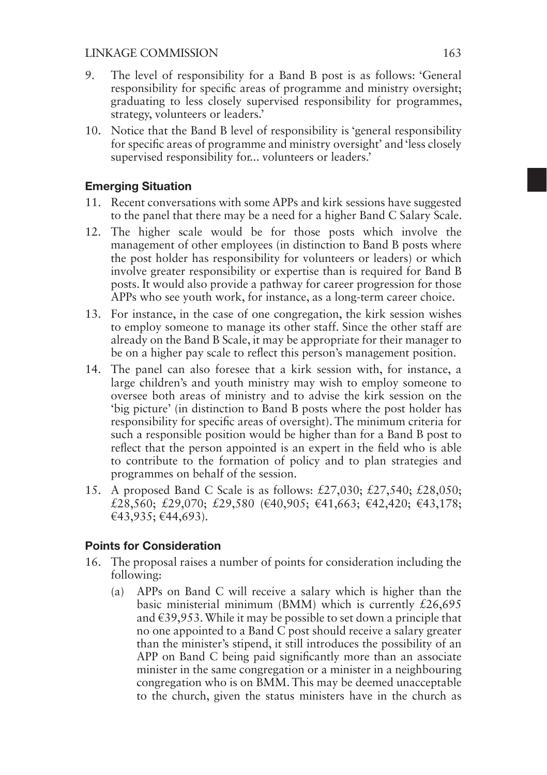- 9. The level of responsibility for a Band B post is as follows: 'General responsibility for specific areas of programme and ministry oversight; graduating to less closely supervised responsibility for programmes, strategy, volunteers or leaders.'
- 10. Notice that the Band B level of responsibility is 'general responsibility for specific areas of programme and ministry oversight' and 'less closely supervised responsibility for... volunteers or leaders.'

### Emerging Situation

- 11. Recent conversations with some APPs and kirk sessions have suggested to the panel that there may be a need for a higher Band C Salary Scale.
- 12. The higher scale would be for those posts which involve the management of other employees (in distinction to Band B posts where the post holder has responsibility for volunteers or leaders) or which involve greater responsibility or expertise than is required for Band B posts. It would also provide a pathway for career progression for those APPs who see youth work, for instance, as a long-term career choice.
- 13. For instance, in the case of one congregation, the kirk session wishes to employ someone to manage its other staff. Since the other staff are already on the Band B Scale, it may be appropriate for their manager to be on a higher pay scale to reflect this person's management position.
- 14. The panel can also foresee that a kirk session with, for instance, a large children's and youth ministry may wish to employ someone to oversee both areas of ministry and to advise the kirk session on the 'big picture' (in distinction to Band B posts where the post holder has responsibility for specific areas of oversight). The minimum criteria for such a responsible position would be higher than for a Band B post to reflect that the person appointed is an expert in the field who is able to contribute to the formation of policy and to plan strategies and programmes on behalf of the session.
- 15. A proposed Band C Scale is as follows: £27,030; £27,540; £28,050; £28,560; £29,070; £29,580 (€40,905; €41,663; €42,420; €43,178; €43,935; €44,693).

### Points for Consideration

- 16. The proposal raises a number of points for consideration including the following:
	- (a) APPs on Band C will receive a salary which is higher than the basic ministerial minimum (BMM) which is currently £26,695 and €39,953. While it may be possible to set down a principle that no one appointed to a Band  $\overrightarrow{C}$  post should receive a salary greater than the minister's stipend, it still introduces the possibility of an APP on Band C being paid significantly more than an associate minister in the same congregation or a minister in a neighbouring congregation who is on BMM. This may be deemed unacceptable to the church, given the status ministers have in the church as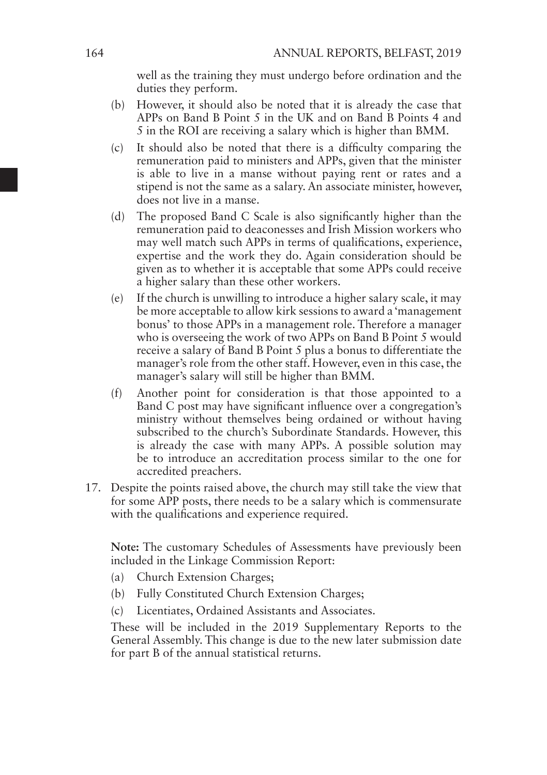well as the training they must undergo before ordination and the duties they perform.

- (b) However, it should also be noted that it is already the case that APPs on Band B Point 5 in the UK and on Band B Points 4 and 5 in the ROI are receiving a salary which is higher than BMM.
- (c) It should also be noted that there is a difficulty comparing the remuneration paid to ministers and APPs, given that the minister is able to live in a manse without paying rent or rates and a stipend is not the same as a salary. An associate minister, however, does not live in a manse.
- (d) The proposed Band C Scale is also significantly higher than the remuneration paid to deaconesses and Irish Mission workers who may well match such APPs in terms of qualifications, experience, expertise and the work they do. Again consideration should be given as to whether it is acceptable that some APPs could receive a higher salary than these other workers.
- (e) If the church is unwilling to introduce a higher salary scale, it may be more acceptable to allow kirk sessions to award a 'management bonus' to those APPs in a management role. Therefore a manager who is overseeing the work of two APPs on Band B Point 5 would receive a salary of Band B Point 5 plus a bonus to differentiate the manager's role from the other staff. However, even in this case, the manager's salary will still be higher than BMM.
- (f) Another point for consideration is that those appointed to a Band C post may have significant influence over a congregation's ministry without themselves being ordained or without having subscribed to the church's Subordinate Standards. However, this is already the case with many APPs. A possible solution may be to introduce an accreditation process similar to the one for accredited preachers.
- 17. Despite the points raised above, the church may still take the view that for some APP posts, there needs to be a salary which is commensurate with the qualifications and experience required.

**Note:** The customary Schedules of Assessments have previously been included in the Linkage Commission Report:

- (a) Church Extension Charges;
- (b) Fully Constituted Church Extension Charges;
- (c) Licentiates, Ordained Assistants and Associates.

These will be included in the 2019 Supplementary Reports to the General Assembly. This change is due to the new later submission date for part B of the annual statistical returns.